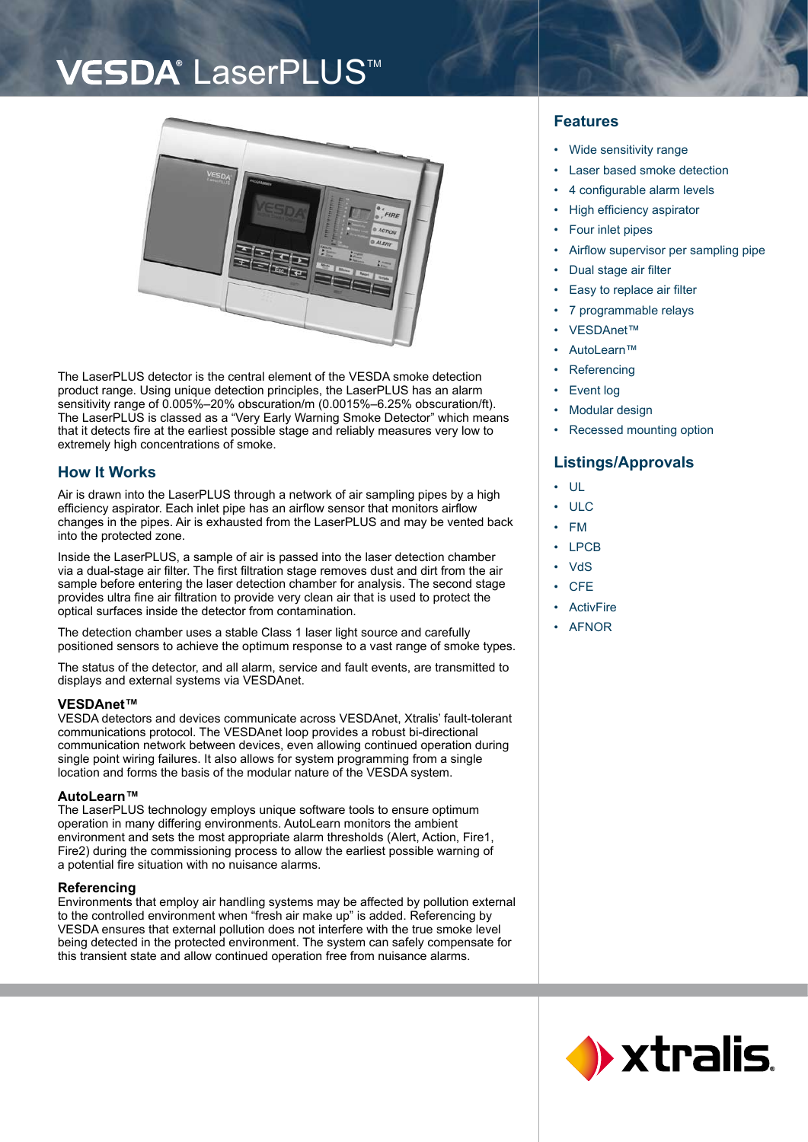## VESDA<sup>®</sup> LaserPLUS<sup>™</sup>



The LaserPLUS detector is the central element of the VESDA smoke detection product range. Using unique detection principles, the LaserPLUS has an alarm sensitivity range of 0.005%–20% obscuration/m (0.0015%–6.25% obscuration/ft). The LaserPLUS is classed as a "Very Early Warning Smoke Detector" which means that it detects fire at the earliest possible stage and reliably measures very low to extremely high concentrations of smoke.

## **How It Works**

Air is drawn into the LaserPLUS through a network of air sampling pipes by a high efficiency aspirator. Each inlet pipe has an airflow sensor that monitors airflow changes in the pipes. Air is exhausted from the LaserPLUS and may be vented back into the protected zone.

Inside the LaserPLUS, a sample of air is passed into the laser detection chamber via a dual-stage air filter. The first filtration stage removes dust and dirt from the air sample before entering the laser detection chamber for analysis. The second stage provides ultra fine air filtration to provide very clean air that is used to protect the optical surfaces inside the detector from contamination.

The detection chamber uses a stable Class 1 laser light source and carefully positioned sensors to achieve the optimum response to a vast range of smoke types.

The status of the detector, and all alarm, service and fault events, are transmitted to displays and external systems via VESDAnet.

#### **VESDAnet™**

VESDA detectors and devices communicate across VESDAnet, Xtralis' fault-tolerant communications protocol. The VESDAnet loop provides a robust bi-directional communication network between devices, even allowing continued operation during single point wiring failures. It also allows for system programming from a single location and forms the basis of the modular nature of the VESDA system.

#### **AutoLearn™**

The LaserPLUS technology employs unique software tools to ensure optimum operation in many differing environments. AutoLearn monitors the ambient environment and sets the most appropriate alarm thresholds (Alert, Action, Fire1, Fire2) during the commissioning process to allow the earliest possible warning of a potential fire situation with no nuisance alarms.

#### **Referencing**

Environments that employ air handling systems may be affected by pollution external to the controlled environment when "fresh air make up" is added. Referencing by VESDA ensures that external pollution does not interfere with the true smoke level being detected in the protected environment. The system can safely compensate for this transient state and allow continued operation free from nuisance alarms.

### **Features**

- Wide sensitivity range •
- Laser based smoke detection •
- 4 configurable alarm levels •
- High efficiency aspirator •
- Four inlet pipes •
- Airflow supervisor per sampling pipe •
- Dual stage air filter •
- Easy to replace air filter •
- 7 programmable relays •
- VESDAnet™ •
- AutoLearn™ •
- **Referencing** •
- Event log •
- Modular design •
- Recessed mounting option •

## **Listings/Approvals**

- UL •
- ULC •
- FM •
- LPCB •
- **VdS** •
- **CFE** •
- ActivFire •
- AFNOR •